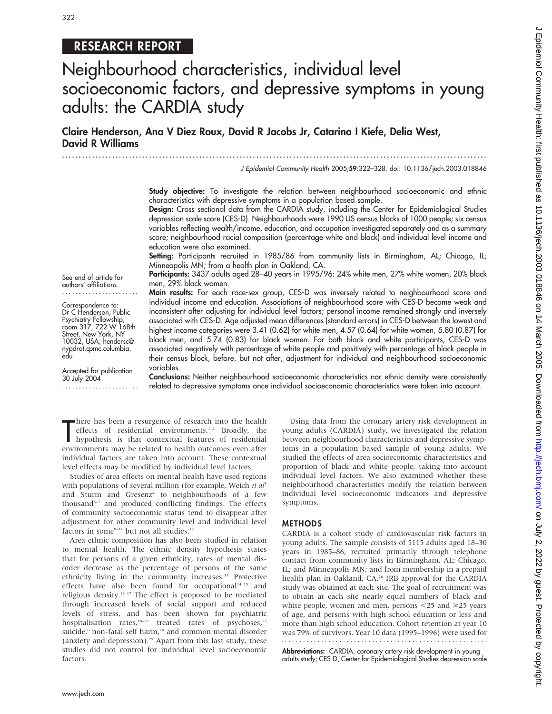# RESEARCH REPORT

# Neighbourhood characteristics, individual level socioeconomic factors, and depressive symptoms in young adults: the CARDIA study

Claire Henderson, Ana V Diez Roux, David R Jacobs Jr, Catarina I Kiefe, Delia West, David R Williams

...............................................................................................................................

J Epidemiol Community Health 2005;59:322–328. doi: 10.1136/jech.2003.018846

**Study objective:** To investigate the relation between neighbourhood socioeconomic and ethnic characteristics with depressive symptoms in a population based sample.

Design: Cross sectional data from the CARDIA study, including the Center for Epidemiological Studies depression scale score (CES-D). Neighbourhoods were 1990 US census blocks of 1000 people; six census variables reflecting wealth/income, education, and occupation investigated separately and as a summary score; neighbourhood racial composition (percentage white and black) and individual level income and education were also examined.

Setting: Participants recruited in 1985/86 from community lists in Birmingham, AL; Chicago, IL; Minneapolis MN; from a health plan in Oakland, CA.

Participants: 3437 adults aged 28–40 years in 1995/96: 24% white men, 27% white women, 20% black men, 29% black women. Main results: For each race-sex group, CES-D was inversely related to neighbourhood score and

individual income and education. Associations of neighbourhood score with CES-D became weak and inconsistent after adjusting for individual level factors; personal income remained strongly and inversely associated with CES-D. Age adjusted mean differences (standard errors) in CES-D between the lowest and highest income categories were 3.41 (0.62) for white men, 4.57 (0.64) for white women, 5.80 (0.87) for black men, and 5.74 (0.83) for black women. For both black and white participants, CES-D was associated negatively with percentage of white people and positively with percentage of black people in their census block, before, but not after, adjustment for individual and neighbourhood socioeconomic

See end of article for authors' affiliations .......................

Correspondence to: Dr C Henderson, Public Psychiatry Fellowship, room 317, 722 W 168th Street, New York, NY 10032, USA; hendersc@ nypdrat.cpmc.columbia. edu

Accepted for publication 30 July 2004 ....................... variables. Conclusions: Neither neighbourhood socioeconomic characteristics nor ethnic density were consistently related to depressive symptoms once individual socioeconomic characteristics were taken into account.

There has been a resurgence of research into the health<br>
effects of residential environments.<sup>12</sup> Broadly, the<br>
hypothesis is that contextual features of residential<br>
experience here has been a resurgence of research into the health effects of residential environments.<sup>12</sup> Broadly, the environments may be related to health outcomes even after individual factors are taken into account. These contextual level effects may be modified by individual level factors.

Studies of area effects on mental health have used regions with populations of several million (for example, Weich et  $a^{\dagger}$ ) and Sturm and Gresenz<sup>4</sup> to neighbourhoods of a few thousand<sup>5-7</sup> and produced conflicting findings. The effects of community socioeconomic status tend to disappear after adjustment for other community level and individual level factors in some $8-11$  but not all studies.<sup>12</sup>

Area ethnic composition has also been studied in relation to mental health. The ethnic density hypothesis states that for persons of a given ethnicity, rates of mental disorder decrease as the percentage of persons of the same ethnicity living in the community increases.<sup>13</sup> Protective effects have also been found for occupational<sup>14 15</sup> and religious density.<sup>16-17</sup> The effect is proposed to be mediated through increased levels of social support and reduced levels of stress, and has been shown for psychiatric hospitalisation rates, $18-22$  treated rates of psychoses, $23$ suicide,<sup>6</sup> non-fatal self harm,<sup>24</sup> and common mental disorder (anxiety and depression).<sup>25</sup> Apart from this last study, these studies did not control for individual level socioeconomic factors.

Using data from the coronary artery risk development in young adults (CARDIA) study, we investigated the relation between neighbourhood characteristics and depressive symptoms in a population based sample of young adults. We studied the effects of area socioeconomic characteristics and proportion of black and white people, taking into account individual level factors. We also examined whether these neighbourhood characteristics modify the relation between individual level socioeconomic indicators and depressive symptoms.

#### **METHODS**

CARDIA is a cohort study of cardiovascular risk factors in young adults. The sample consists of 5115 adults aged 18–30 years in 1985–86, recruited primarily through telephone contact from community lists in Birmingham, AL; Chicago, IL; and Minneapolis MN; and from membership in a prepaid health plan in Oakland, CA.<sup>26</sup> IRB approval for the CARDIA study was obtained at each site. The goal of recruitment was to obtain at each site nearly equal numbers of black and white people, women and men, persons  $\leq$  25 and  $\geq$  25 years of age, and persons with high school education or less and more than high school education. Cohort retention at year 10 was 79% of survivors. Year 10 data (1995–1996) were used for 

Abbreviations: CARDIA, coronary artery risk development in young adults study; CES-D, Center for Epidemiological Studies depression scale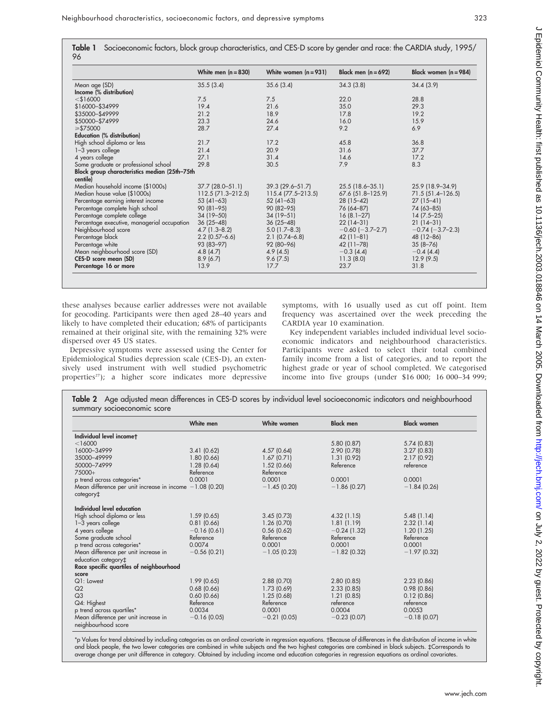|                                               | White men $(n = 830)$ | White women $(n = 931)$ | Black men $(n = 692)$  | Black women $(n = 984)$ |
|-----------------------------------------------|-----------------------|-------------------------|------------------------|-------------------------|
| Mean age (SD)                                 | 35.5(3.4)             | 35.6(3.4)               | 34.3(3.8)              | 34.4(3.9)               |
| Income (% distribution)                       |                       |                         |                        |                         |
| $<$ \$16000                                   | 7.5                   | 7.5                     | 22.0                   | 28.8                    |
| \$16000-\$34999                               | 19.4                  | 21.6                    | 35.0                   | 29.3                    |
| \$35000-\$49999                               | 21.2                  | 18.9                    | 17.8                   | 19.2                    |
| \$50000-\$74999                               | 23.3                  | 24.6                    | 16.0                   | 15.9                    |
| $\geq$ \$75000                                | 28.7                  | 27.4                    | 9.2                    | 6.9                     |
| Education (% distribution)                    |                       |                         |                        |                         |
| High school diploma or less                   | 21.7                  | 17.2                    | 45.8                   | 36.8                    |
| 1-3 years college                             | 21.4                  | 20.9                    | 31.6                   | 37.7                    |
| 4 years college                               | 27.1                  | 31.4                    | 14.6                   | 17.2                    |
| Some graduate or professional school          | 29.8                  | 30.5                    | 7.9                    | 8.3                     |
| Block group characteristics median (25th-75th |                       |                         |                        |                         |
| centile)                                      |                       |                         |                        |                         |
| Median household income (\$1000s)             | $37.7(28.0 - 51.1)$   | $39.3(29.6 - 51.7)$     | $25.5(18.6 - 35.1)$    | 25.9 (18.9-34.9)        |
| Median house value (\$1000s)                  | $112.5(71.3-212.5)$   | $115.4$ (77.5-213.5)    | 67.6 (51.8-125.9)      | $71.5(51.4 - 126.5)$    |
| Percentage earning interest income            | $53(41-63)$           | $52(41-63)$             | $28(15-42)$            | $27(15-41)$             |
| Percentage complete high school               | $90(81-95)$           | $90(82 - 95)$           | 76 (64-87)             | 74 (63-85)              |
| Percentage complete college                   | 34 (19-50)            | $34(19-51)$             | $16(8.1-27)$           | $14(7.5-25)$            |
| Percentage executive, managerial occupation   | $36(25-48)$           | $36(25 - 48)$           | $22(14-31)$            | $21(14-31)$             |
| Neighbourhood score                           | $4.7(1.3 - 8.2)$      | $5.0(1.7 - 8.3)$        | $-0.60$ ( $-3.7-2.7$ ) | $-0.74$ ( $-3.7-2.3$ )  |
| Percentage black                              | $2.2$ (0.57-6.6)      | $2.1$ (0.74-6.8)        | $42(11-81)$            | 48 (12-86)              |
| Percentage white                              | 93 (83-97)            | 92 (80-96)              | 42 (11 - 78)           | $35(8 - 76)$            |
| Mean neighbourhood score (SD)                 | 4.8(4.7)              | 4.9(4.5)                | $-0.3(4.4)$            | $-0.4(4.4)$             |
| <b>CES-D</b> score mean (SD)                  | 8.9(6.7)              | 9.6(7.5)                | 11.3(8.0)              | 12.9(9.5)               |
| Percentage 16 or more                         | 13.9                  | 17.7                    | 23.7                   | 31.8                    |

these analyses because earlier addresses were not available for geocoding. Participants were then aged 28–40 years and likely to have completed their education; 68% of participants remained at their original site, with the remaining 32% were dispersed over 45 US states.

symptoms, with 16 usually used as cut off point. Item frequency was ascertained over the week preceding the CARDIA year 10 examination.

Depressive symptoms were assessed using the Center for Epidemiological Studies depression scale (CES-D), an extensively used instrument with well studied psychometric properties<sup>27</sup>); a higher score indicates more depressive

Key independent variables included individual level socioeconomic indicators and neighbourhood characteristics. Participants were asked to select their total combined family income from a list of categories, and to report the highest grade or year of school completed. We categorised income into five groups (under \$16 000; 16 000–34 999;

Table 2 Age adjusted mean differences in CES-D scores by individual level socioeconomic indicators and neighbourhood summary socioeconomic score

| <b>SUTTINGLY SOCIOCCONOMIC SCOTO</b>                        |                 |                |                  |                    |  |  |  |  |
|-------------------------------------------------------------|-----------------|----------------|------------------|--------------------|--|--|--|--|
|                                                             | White men       | White women    | <b>Black men</b> | <b>Black women</b> |  |  |  |  |
| Individual level incomet                                    |                 |                |                  |                    |  |  |  |  |
| $<$ 16000                                                   |                 |                | 5.80(0.87)       | 5.74(0.83)         |  |  |  |  |
| 16000-34999                                                 | 3.41(0.62)      | 4.57(0.64)     | 2.90(0.78)       | 3.27(0.83)         |  |  |  |  |
| 35000-49999                                                 | 1.80(0.66)      | 1.67(0.71)     | 1.31(0.92)       | 2.17(0.92)         |  |  |  |  |
| 50000-74999                                                 | 1.28(0.64)      | 1.52(0.66)     | Reference        | reference          |  |  |  |  |
| 75000+                                                      | Reference       | Reference      |                  |                    |  |  |  |  |
| p trend across categories*                                  | 0.0001          | 0.0001         | 0.0001           | 0.0001             |  |  |  |  |
| Mean difference per unit increase in income $-1.08$ (0.20)  |                 | $-1.45(0.20)$  | $-1.86(0.27)$    | $-1.84(0.26)$      |  |  |  |  |
| category <sup>+</sup>                                       |                 |                |                  |                    |  |  |  |  |
| Individual level education                                  |                 |                |                  |                    |  |  |  |  |
| High school diploma or less                                 | 1.59(0.65)      | 3.45(0.73)     | 4.32(1.15)       | 5.48(1.14)         |  |  |  |  |
| 1-3 years college                                           | 0.81(0.66)      | 1.26(0.70)     | 1.81(1.19)       | 2.32(1.14)         |  |  |  |  |
| 4 years college                                             | $-0.16(0.61)$   | 0.56(0.62)     | $-0.24$ (1.32)   | 1.20(1.25)         |  |  |  |  |
| Some graduate school                                        | Reference       | Reference      | Reference        | Reference          |  |  |  |  |
| p trend across categories*                                  | 0.0074          | 0.0001         | 0.0001           | 0.0001             |  |  |  |  |
| Mean difference per unit increase in                        | $-0.56(0.21)$   | $-1.05(0.23)$  | $-1.82$ (0.32)   | $-1.97(0.32)$      |  |  |  |  |
| education category <sup>+</sup>                             |                 |                |                  |                    |  |  |  |  |
| Race specific quartiles of neighbourhood                    |                 |                |                  |                    |  |  |  |  |
| score                                                       |                 |                |                  |                    |  |  |  |  |
| Q1: Lowest                                                  | 1.99(0.65)      | 2.88(0.70)     | 2.80(0.85)       | 2.23(0.86)         |  |  |  |  |
| Q2                                                          | $0.68$ (0.66)   | 1.73(0.69)     | 2.33(0.85)       | 0.98(0.86)         |  |  |  |  |
| Q <sub>3</sub>                                              | $0.60$ $(0.66)$ | 1.25(0.68)     | 1.21(0.85)       | 0.12(0.86)         |  |  |  |  |
| Q4: Highest                                                 | Reference       | Reference      | reference        | reference          |  |  |  |  |
| p trend across quartiles*                                   | 0.0034          | 0.0001         | 0.0004           | 0.0053             |  |  |  |  |
| Mean difference per unit increase in<br>neighbourhood score | $-0.16$ (0.05)  | $-0.21$ (0.05) | $-0.23$ (0.07)   | $-0.18$ (0.07)     |  |  |  |  |
|                                                             |                 |                |                  |                    |  |  |  |  |

\*p Values for trend obtained by including categories as an ordinal covariate in regression equations. Because of differences in the distribution of income in white and black people, the two lower categories are combined in white subjects and the two highest categories are combined in black subjects. `Corresponds to average change per unit difference in category. Obtained by including income and education categories in regression equations as ordinal covariates.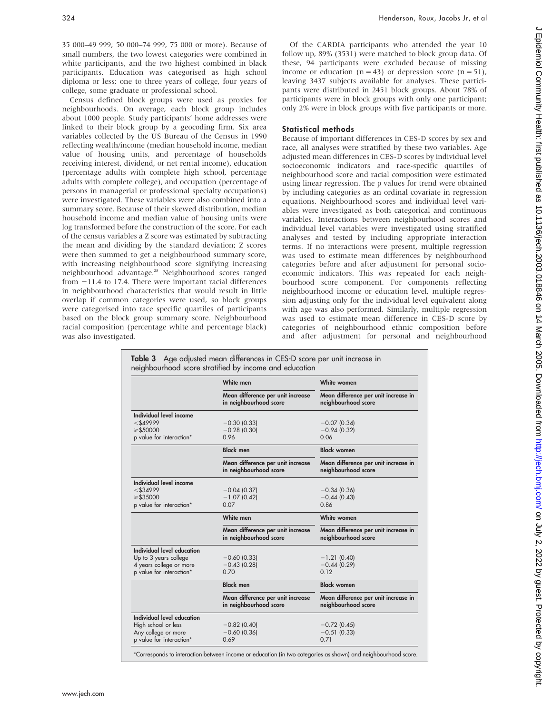35 000–49 999; 50 000–74 999, 75 000 or more). Because of small numbers, the two lowest categories were combined in white participants, and the two highest combined in black participants. Education was categorised as high school diploma or less; one to three years of college, four years of college, some graduate or professional school.

Census defined block groups were used as proxies for neighbourhoods. On average, each block group includes about 1000 people. Study participants' home addresses were linked to their block group by a geocoding firm. Six area variables collected by the US Bureau of the Census in 1990 reflecting wealth/income (median household income, median value of housing units, and percentage of households receiving interest, dividend, or net rental income), education (percentage adults with complete high school, percentage adults with complete college), and occupation (percentage of persons in managerial or professional specialty occupations) were investigated. These variables were also combined into a summary score. Because of their skewed distribution, median household income and median value of housing units were log transformed before the construction of the score. For each of the census variables a Z score was estimated by subtracting the mean and dividing by the standard deviation; Z scores were then summed to get a neighbourhood summary score, with increasing neighbourhood score signifying increasing neighbourhood advantage.<sup>28</sup> Neighbourhood scores ranged from  $-11.4$  to 17.4. There were important racial differences in neighbourhood characteristics that would result in little overlap if common categories were used, so block groups were categorised into race specific quartiles of participants based on the block group summary score. Neighbourhood racial composition (percentage white and percentage black) was also investigated.

Of the CARDIA participants who attended the year 10 follow up, 89% (3531) were matched to block group data. Of these, 94 participants were excluded because of missing income or education  $(n = 43)$  or depression score  $(n = 51)$ , leaving 3437 subjects available for analyses. These participants were distributed in 2451 block groups. About 78% of participants were in block groups with only one participant; only 2% were in block groups with five participants or more.

#### Statistical methods

Because of important differences in CES-D scores by sex and race, all analyses were stratified by these two variables. Age adjusted mean differences in CES-D scores by individual level socioeconomic indicators and race-specific quartiles of neighbourhood score and racial composition were estimated using linear regression. The p values for trend were obtained by including categories as an ordinal covariate in regression equations. Neighbourhood scores and individual level variables were investigated as both categorical and continuous variables. Interactions between neighbourhood scores and individual level variables were investigated using stratified analyses and tested by including appropriate interaction terms. If no interactions were present, multiple regression was used to estimate mean differences by neighbourhood categories before and after adjustment for personal socioeconomic indicators. This was repeated for each neighbourhood score component. For components reflecting neighbourhood income or education level, multiple regression adjusting only for the individual level equivalent along with age was also performed. Similarly, multiple regression was used to estimate mean difference in CES-D score by categories of neighbourhood ethnic composition before and after adjustment for personal and neighbourhood

|                                | White men                                                   | White women                                                 |
|--------------------------------|-------------------------------------------------------------|-------------------------------------------------------------|
|                                | Mean difference per unit increase<br>in neighbourhood score | Mean difference per unit increase in<br>neighbourhood score |
| <b>Individual level income</b> |                                                             |                                                             |
| $<$ \$49999                    | $-0.30$ (0.33)                                              | $-0.07$ (0.34)                                              |
| $\geq$ \$50000                 | $-0.28$ (0.30)                                              | $-0.94$ (0.32)                                              |
| p value for interaction*       | 0.96                                                        | 0.06                                                        |
|                                | <b>Black men</b>                                            | <b>Black women</b>                                          |
|                                | Mean difference per unit increase<br>in neighbourhood score | Mean difference per unit increase in<br>neighbourhood score |
| Individual level income        |                                                             |                                                             |
| $<$ \$34999                    | $-0.04$ (0.37)                                              | $-0.34(0.36)$                                               |
| $\geq$ \$35000                 | $-1.07$ (0.42)                                              | $-0.44(0.43)$                                               |
| p value for interaction*       | 0.07                                                        | 0.86                                                        |
|                                | White men                                                   | White women                                                 |
|                                | Mean difference per unit increase<br>in neighbourhood score | Mean difference per unit increase in<br>neighbourhood score |
| Individual level education     |                                                             |                                                             |
| Up to 3 years college          | $-0.60$ (0.33)                                              | $-1.21(0.40)$                                               |
| 4 years college or more        | $-0.43(0.28)$                                               | $-0.44(0.29)$                                               |
| p value for interaction*       | 0.70                                                        | 012                                                         |
|                                | <b>Black men</b>                                            | <b>Black women</b>                                          |
|                                | Mean difference per unit increase<br>in neighbourhood score | Mean difference per unit increase in<br>neighbourhood score |
| Individual level education     |                                                             |                                                             |
| High school or less            | $-0.82$ (0.40)                                              | $-0.72$ (0.45)                                              |
| Any college or more            | $-0.60$ (0.36)                                              | $-0.51$ (0.33)                                              |
| p value for interaction*       | 0.69                                                        | 0.71                                                        |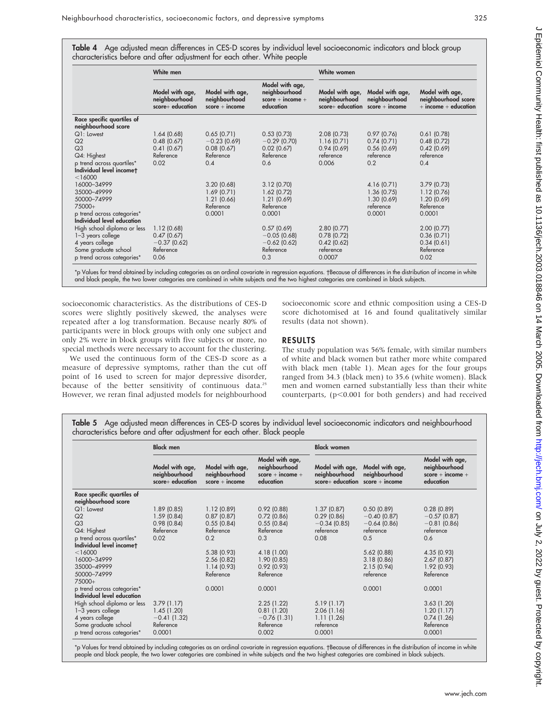Table 4 Age adjusted mean differences in CES-D scores by individual level socioeconomic indicators and block group characteristics before and after adjustment for each other. White people

|                                                    | White men                                            |                                                                                                                             |                              | White women                                                             |                                  |                                                                    |  |  |
|----------------------------------------------------|------------------------------------------------------|-----------------------------------------------------------------------------------------------------------------------------|------------------------------|-------------------------------------------------------------------------|----------------------------------|--------------------------------------------------------------------|--|--|
|                                                    | Model with age,<br>neighbourhood<br>score+ education | Model with age,<br>neighbourhood<br>Model with age,<br>neighbourhood<br>$score + income +$<br>$score + income$<br>education |                              | Model with age,<br>neighbourhood<br>$score+$ education $score +$ income | Model with age,<br>neighbourhood | Model with age,<br>neighbourhood score<br>$+$ income $+$ education |  |  |
| Race specific quartiles of<br>neighbourhood score  |                                                      |                                                                                                                             |                              |                                                                         |                                  |                                                                    |  |  |
| Q1: Lowest<br>Q2                                   | 1.64(0.68)<br>0.48(0.67)                             | 0.65(0.71)<br>$-0.23(0.69)$                                                                                                 | 0.53(0.73)<br>$-0.29$ (0.70) | 2.08(0.73)<br>1.16(0.71)                                                | 0.97(0.76)<br>0.74(0.71)         | 0.61(0.78)<br>0.48(0.72)                                           |  |  |
| Q <sub>3</sub><br>Q4: Highest                      | 0.41(0.67)<br>Reference                              | 0.08(0.67)<br>Reference                                                                                                     | 0.02(0.67)<br>Reference      | 0.94(0.69)<br>reference                                                 | 0.56(0.69)<br>reference          | 0.42(0.69)<br>reference                                            |  |  |
| p trend across quartiles*                          | 0.02                                                 | 0.4                                                                                                                         | 0.6                          | 0.006                                                                   | 0.2                              | 0.4                                                                |  |  |
| Individual level incomet<br>$<$ 16000              |                                                      |                                                                                                                             |                              |                                                                         |                                  |                                                                    |  |  |
| 16000-34999                                        |                                                      | 3.20(0.68)                                                                                                                  | 3.12(0.70)                   |                                                                         | 4.16(0.71)                       | 3.79(0.73)                                                         |  |  |
| 35000-49999<br>50000-74999                         |                                                      | 1.69(0.71)<br>1.21(0.66)                                                                                                    | 1.62(0.72)<br>1.21(0.69)     |                                                                         | 1.36(0.75)<br>1.30(0.69)         | 1.12(0.76)<br>1.20(0.69)                                           |  |  |
| 75000+<br>p trend across categories*               |                                                      | Reference<br>0.0001                                                                                                         | Reference<br>0.0001          |                                                                         | reference<br>0.0001              | Reference<br>0.0001                                                |  |  |
| Individual level education                         |                                                      |                                                                                                                             |                              |                                                                         |                                  |                                                                    |  |  |
| High school diploma or less<br>1-3 years college   | 1.12(0.68)<br>0.47(0.67)                             |                                                                                                                             | 0.57(0.69)<br>$-0.05$ (0.68) | 2.80(0.77)<br>0.78(0.72)                                                |                                  | 2.00(0.77)<br>0.36(0.71)                                           |  |  |
| 4 years college                                    | $-0.37(0.62)$<br>Reference                           |                                                                                                                             | $-0.62$ (0.62)<br>Reference  | 0.42(0.62)                                                              |                                  | 0.34(0.61)<br>Reference                                            |  |  |
| Some graduate school<br>p trend across categories* | 0.06                                                 |                                                                                                                             | 0.3                          | reference<br>0.0007                                                     |                                  | 0.02                                                               |  |  |
|                                                    |                                                      |                                                                                                                             |                              |                                                                         |                                  |                                                                    |  |  |

\*p Values for trend obtained by including categories as an ordinal covariate in regression equations. Because of differences in the distribution of income in white and black people, the two lower categories are combined in white subjects and the two highest categories are combined in black subjects.

socioeconomic characteristics. As the distributions of CES-D scores were slightly positively skewed, the analyses were repeated after a log transformation. Because nearly 80% of participants were in block groups with only one subject and only 2% were in block groups with five subjects or more, no special methods were necessary to account for the clustering.

We used the continuous form of the CES-D score as a measure of depressive symptoms, rather than the cut off point of 16 used to screen for major depressive disorder, because of the better sensitivity of continuous data.<sup>25</sup> However, we reran final adjusted models for neighbourhood socioeconomic score and ethnic composition using a CES-D score dichotomised at 16 and found qualitatively similar results (data not shown).

### RESULTS

The study population was 56% female, with similar numbers of white and black women but rather more white compared with black men (table 1). Mean ages for the four groups ranged from 34.3 (black men) to 35.6 (white women). Black men and women earned substantially less than their white counterparts,  $(p<0.001$  for both genders) and had received

Table 5 Age adjusted mean differences in CES-D scores by individual level socioeconomic indicators and neighbourhood characteristics before and after adjustment for each other. Black people

|                                                   | <b>Black men</b>                                     |                                                      |                                                                     | <b>Black women</b>                                                      |                                  |                                                                     |  |
|---------------------------------------------------|------------------------------------------------------|------------------------------------------------------|---------------------------------------------------------------------|-------------------------------------------------------------------------|----------------------------------|---------------------------------------------------------------------|--|
|                                                   | Model with age,<br>neighbourhood<br>score+ education | Model with age,<br>neighbourhood<br>$score + income$ | Model with age,<br>neighbourhood<br>$score + income +$<br>education | Model with age,<br>neighbourhood<br>$score+$ education $score +$ income | Model with age,<br>neighbourhood | Model with age,<br>neighbourhood<br>$score + income +$<br>education |  |
| Race specific quartiles of<br>neighbourhood score |                                                      |                                                      |                                                                     |                                                                         |                                  |                                                                     |  |
| Q1: Lowest                                        | 1.89(0.85)                                           | 1.12(0.89)                                           | 0.92(0.88)                                                          | 1.37(0.87)                                                              | 0.50(0.89)                       | 0.28(0.89)                                                          |  |
| Q2                                                | 1.59(0.84)                                           | 0.87(0.87)                                           | 0.72(0.86)                                                          | 0.29(0.86)                                                              | $-0.40$ (0.87)                   | $-0.57$ (0.87)                                                      |  |
| Q <sub>3</sub>                                    | 0.98(0.84)                                           | 0.55(0.84)                                           | 0.55(0.84)                                                          | $-0.34$ (0.85)                                                          | $-0.64$ (0.86)                   | $-0.81$ (0.86)                                                      |  |
| Q4: Highest                                       | Reference                                            | Reference                                            | Reference                                                           | reference                                                               | reference                        | reference                                                           |  |
| p trend across quartiles*                         | 0.02                                                 | 0.2                                                  | 0.3                                                                 | 0.08                                                                    | 0.5                              | 0.6                                                                 |  |
| Individual level incomet<br>< 16000               |                                                      |                                                      | 4.18 (1.00)                                                         |                                                                         | 5.62(0.88)                       |                                                                     |  |
| 16000-34999                                       |                                                      | 5.38 (0.93)<br>2.56(0.82)                            | 1.90(0.85)                                                          |                                                                         | 3.18(0.86)                       | 4.35 (0.93)<br>2.67(0.87)                                           |  |
| 35000-49999                                       |                                                      | 1.14(0.93)                                           | 0.92(0.93)                                                          |                                                                         | 2.15(0.94)                       | 1.92(0.93)                                                          |  |
| 50000-74999                                       |                                                      | Reference                                            | Reference                                                           |                                                                         | reference                        | Reference                                                           |  |
| 75000+                                            |                                                      |                                                      |                                                                     |                                                                         |                                  |                                                                     |  |
| p trend across categories*                        |                                                      | 0.0001                                               | 0.0001                                                              |                                                                         | 0.0001                           | 0.0001                                                              |  |
| Individual level education                        |                                                      |                                                      |                                                                     |                                                                         |                                  |                                                                     |  |
| High school diploma or less                       | 3.79(1.17)                                           |                                                      | 2.25(1.22)                                                          | 5.19(1.17)                                                              |                                  | 3.63(1.20)                                                          |  |
| 1-3 years college                                 | 1.45(1.20)                                           |                                                      | 0.81(1.20)                                                          | 2.06(1.16)                                                              |                                  | 1.20(1.17)                                                          |  |
| 4 years college                                   | $-0.41(1.32)$                                        |                                                      | $-0.76(1.31)$                                                       | 1.11(1.26)                                                              |                                  | 0.74(1.26)                                                          |  |
| Some graduate school                              | Reference                                            |                                                      | Reference                                                           | reference                                                               |                                  | Reference                                                           |  |
| p trend across categories*                        | 0.0001                                               |                                                      | 0.002                                                               | 0.0001                                                                  |                                  | 0.0001                                                              |  |

\*p Values for trend obtained by including categories as an ordinal covariate in regression equations. Because of differences in the distribution of income in white people and black people, the two lower categories are combined in white subjects and the two highest categories are combined in black subjects.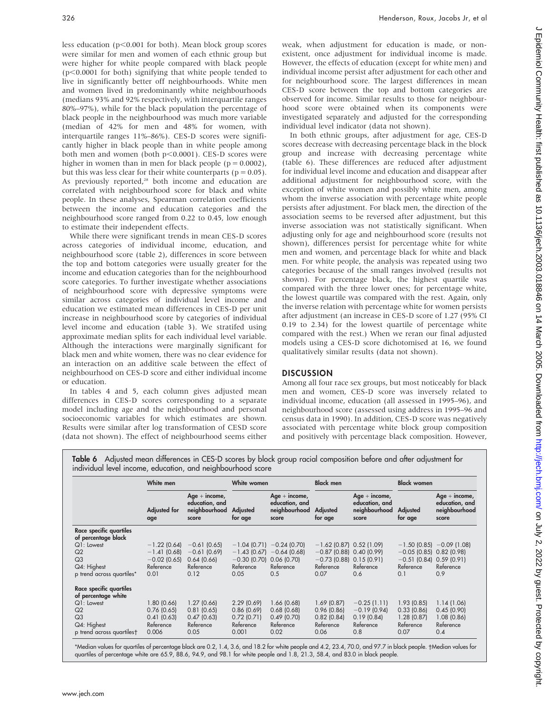less education ( $p<0.001$  for both). Mean block group scores were similar for men and women of each ethnic group but were higher for white people compared with black people  $(p<0.0001$  for both) signifying that white people tended to live in significantly better off neighbourhoods. White men and women lived in predominantly white neighbourhoods (medians 93% and 92% respectively, with interquartile ranges 80%–97%), while for the black population the percentage of black people in the neighbourhood was much more variable (median of 42% for men and 48% for women, with interquartile ranges 11%–86%). CES-D scores were significantly higher in black people than in white people among both men and women (both  $p<0.0001$ ). CES-D scores were higher in women than in men for black people ( $p = 0.0002$ ), but this was less clear for their white counterparts ( $p = 0.05$ ). As previously reported,<sup>28</sup> both income and education are correlated with neighbourhood score for black and white people. In these analyses, Spearman correlation coefficients between the income and education categories and the neighbourhood score ranged from 0.22 to 0.45, low enough to estimate their independent effects.

While there were significant trends in mean CES-D scores across categories of individual income, education, and neighbourhood score (table 2), differences in score between the top and bottom categories were usually greater for the income and education categories than for the neighbourhood score categories. To further investigate whether associations of neighbourhood score with depressive symptoms were similar across categories of individual level income and education we estimated mean differences in CES-D per unit increase in neighbourhood score by categories of individual level income and education (table 3). We stratifed using approximate median splits for each individual level variable. Although the interactions were marginally significant for black men and white women, there was no clear evidence for an interaction on an additive scale between the effect of neighbourhood on CES-D score and either individual income or education.

In tables 4 and 5, each column gives adjusted mean differences in CES-D scores corresponding to a separate model including age and the neighbourhood and personal socioeconomic variables for which estimates are shown. Results were similar after log transformation of CESD score (data not shown). The effect of neighbourhood seems either

weak, when adjustment for education is made, or nonexistent, once adjustment for individual income is made. However, the effects of education (except for white men) and individual income persist after adjustment for each other and for neighbourhood score. The largest differences in mean CES-D score between the top and bottom categories are observed for income. Similar results to those for neighbourhood score were obtained when its components were investigated separately and adjusted for the corresponding individual level indicator (data not shown).

In both ethnic groups, after adjustment for age, CES-D scores decrease with decreasing percentage black in the block group and increase with decreasing percentage white (table 6). These differences are reduced after adjustment for individual level income and education and disappear after additional adjustment for neighbourhood score, with the exception of white women and possibly white men, among whom the inverse association with percentage white people persists after adjustment. For black men, the direction of the association seems to be reversed after adjustment, but this inverse association was not statistically significant. When adjusting only for age and neighbourhood score (results not shown), differences persist for percentage white for white men and women, and percentage black for white and black men. For white people, the analysis was repeated using two categories because of the small ranges involved (results not shown). For percentage black, the highest quartile was compared with the three lower ones; for percentage white, the lowest quartile was compared with the rest. Again, only the inverse relation with percentage white for women persists after adjustment (an increase in CES-D score of 1.27 (95% CI 0.19 to 2.34) for the lowest quartile of percentage white compared with the rest.) When we reran our final adjusted models using a CES-D score dichotomised at 16, we found qualitatively similar results (data not shown).

# **DISCUSSION**

Among all four race sex groups, but most noticeably for black men and women, CES-D score was inversely related to individual income, education (all assessed in 1995–96), and neighbourhood score (assessed using address in 1995–96 and census data in 1990). In addition, CES-D score was negatively associated with percentage white block group composition and positively with percentage black composition. However,

|                                                             |  |  |  | Table 6 Adjusted mean differences in CES-D scores by block group racial composition before and after adjustment for |
|-------------------------------------------------------------|--|--|--|---------------------------------------------------------------------------------------------------------------------|
| individual level income, education, and neighbourhood score |  |  |  |                                                                                                                     |

|                                                | White men                                        |                                                              | White women                            |                                                              | <b>Black men</b>                                                                       |                                                              | <b>Black women</b>                                       |                                                             |
|------------------------------------------------|--------------------------------------------------|--------------------------------------------------------------|----------------------------------------|--------------------------------------------------------------|----------------------------------------------------------------------------------------|--------------------------------------------------------------|----------------------------------------------------------|-------------------------------------------------------------|
|                                                | Adjusted for<br>age                              | $Age + income$ ,<br>education, and<br>neighbourhood<br>score | Adjusted<br>for age                    | $Age + income$ ,<br>education, and<br>neighbourhood<br>score | Adjusted<br>for age                                                                    | $Age + income$ ,<br>education, and<br>neighbourhood<br>score | Adjusted<br>for age                                      | $Age + income,$<br>education, and<br>neighbourhood<br>score |
| Race specific quartiles<br>of percentage black |                                                  |                                                              |                                        |                                                              |                                                                                        |                                                              |                                                          |                                                             |
| Q1: Lowest<br>Q2<br>Q <sub>3</sub>             | $-1.22(0.64)$<br>$-1.41(0.68)$<br>$-0.02$ (0.65) | $-0.61$ (0.65)<br>$-0.61$ (0.69)<br>0.64(0.66)               | $-0.30$ (0.70) 0.06 (0.70)             | $-1.04$ (0.71) $-0.24$ (0.70)<br>$-1.43(0.67) -0.64(0.68)$   | $-1.62$ (0.87) 0.52 (1.09)<br>$-0.87$ (0.88) 0.40 (0.99)<br>$-0.73$ (0.88) 0.15 (0.91) |                                                              | $-0.05$ (0.85) 0.82 (0.98)<br>$-0.51$ (0.84) 0.59 (0.91) | $-1.50$ (0.85) $-0.09$ (1.08)                               |
| Q4: Highest<br>p trend across quartiles*       | Reference<br>0.01                                | Reference<br>0.12                                            | Reference<br>0.05                      | Reference<br>0.5                                             | Reference<br>0.07                                                                      | Reference<br>0.6                                             | Reference<br>0.1                                         | Reference<br>0.9                                            |
| Race specific quartiles<br>of percentage white |                                                  |                                                              |                                        |                                                              |                                                                                        |                                                              |                                                          |                                                             |
| Q1: Lowest<br>Q2<br>Q <sub>3</sub>             | 1.80(0.66)<br>0.76(0.65)<br>0.41(0.63)           | 1.27(0.66)<br>0.81(0.65)<br>0.47(0.63)                       | 2.29(0.69)<br>0.86(0.69)<br>0.72(0.71) | 1.66(0.68)<br>0.68(0.68)<br>0.49(0.70)                       | 1.69(0.87)<br>0.96(0.86)<br>0.82(0.84)                                                 | $-0.25(1.11)$<br>$-0.19(0.94)$<br>0.19(0.84)                 | 1.93(0.85)<br>0.33(0.86)<br>1.28(0.87)                   | 1.14(1.06)<br>0.45(0.90)<br>1.08(0.86)                      |
| Q4: Highest<br>p trend across quartilest       | Reference<br>0.006                               | Reference<br>0.05                                            | Reference<br>0.001                     | Reference<br>0.02                                            | Reference<br>0.06                                                                      | Reference<br>0.8                                             | Reference<br>0.07                                        | Reference<br>0.4                                            |

\*Median values for quartiles of percentage black are 0.2, 1.4, 3.6, and 18.2 for white people and 4.2, 23.4, 70.0, and 97.7 in black people. Median values for quartiles of percentage white are 65.9, 88.6, 94.9, and 98.1 for white people and 1.8, 21.3, 58.4, and 83.0 in black people.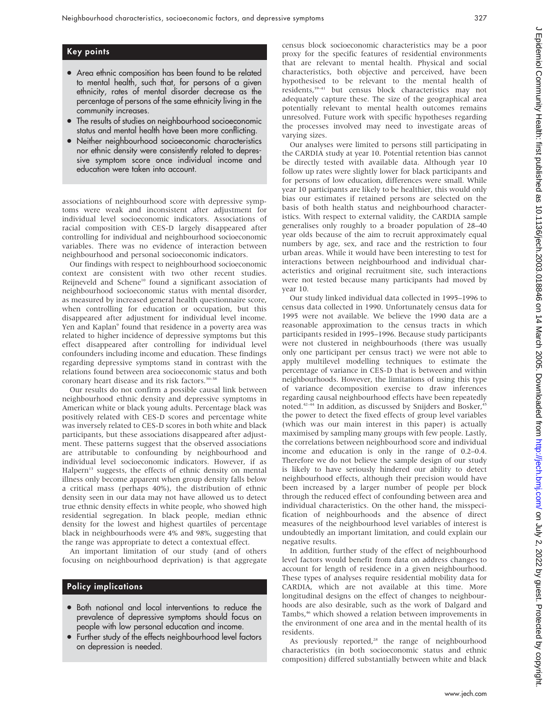## Key points

- Area ethnic composition has been found to be related to mental health, such that, for persons of a given ethnicity, rates of mental disorder decrease as the percentage of persons of the same ethnicity living in the community increases.
- The results of studies on neighbourhood socioeconomic status and mental health have been more conflicting.
- Neither neighbourhood socioeconomic characteristics nor ethnic density were consistently related to depressive symptom score once individual income and education were taken into account.

associations of neighbourhood score with depressive symptoms were weak and inconsistent after adjustment for individual level socioeconomic indicators. Associations of racial composition with CES-D largely disappeared after controlling for individual and neighbourhood socioeconomic variables. There was no evidence of interaction between neighbourhood and personal socioeconomic indicators.

Our findings with respect to neighbourhood socioeconomic context are consistent with two other recent studies. Reijneveld and Schene<sup>10</sup> found a significant association of neighbourhood socioeconomic status with mental disorder, as measured by increased general health questionnaire score, when controlling for education or occupation, but this disappeared after adjustment for individual level income. Yen and Kaplan<sup>9</sup> found that residence in a poverty area was related to higher incidence of depressive symptoms but this effect disappeared after controlling for individual level confounders including income and education. These findings regarding depressive symptoms stand in contrast with the relations found between area socioeconomic status and both coronary heart disease and its risk factors.<sup>30</sup>

Our results do not confirm a possible causal link between neighbourhood ethnic density and depressive symptoms in American white or black young adults. Percentage black was positively related with CES-D scores and percentage white was inversely related to CES-D scores in both white and black participants, but these associations disappeared after adjustment. These patterns suggest that the observed associations are attributable to confounding by neighbourhood and individual level socioeconomic indicators. However, if as Halpern<sup>13</sup> suggests, the effects of ethnic density on mental illness only become apparent when group density falls below a critical mass (perhaps 40%), the distribution of ethnic density seen in our data may not have allowed us to detect true ethnic density effects in white people, who showed high residential segregation. In black people, median ethnic density for the lowest and highest quartiles of percentage black in neighbourhoods were 4% and 98%, suggesting that the range was appropriate to detect a contextual effect.

An important limitation of our study (and of others focusing on neighbourhood deprivation) is that aggregate

### Policy implications

- Both national and local interventions to reduce the prevalence of depressive symptoms should focus on people with low personal education and income.
- Further study of the effects neighbourhood level factors on depression is needed.

census block socioeconomic characteristics may be a poor proxy for the specific features of residential environments that are relevant to mental health. Physical and social characteristics, both objective and perceived, have been hypothesised to be relevant to the mental health of residents,39–41 but census block characteristics may not adequately capture these. The size of the geographical area potentially relevant to mental health outcomes remains unresolved. Future work with specific hypotheses regarding the processes involved may need to investigate areas of varying sizes.

Our analyses were limited to persons still participating in the CARDIA study at year 10. Potential retention bias cannot be directly tested with available data. Although year 10 follow up rates were slightly lower for black participants and for persons of low education, differences were small. While year 10 participants are likely to be healthier, this would only bias our estimates if retained persons are selected on the basis of both health status and neighbourhood characteristics. With respect to external validity, the CARDIA sample generalises only roughly to a broader population of 28–40 year olds because of the aim to recruit approximately equal numbers by age, sex, and race and the restriction to four urban areas. While it would have been interesting to test for interactions between neighbourhood and individual characteristics and original recruitment site, such interactions were not tested because many participants had moved by year 10.

Our study linked individual data collected in 1995–1996 to census data collected in 1990. Unfortunately census data for 1995 were not available. We believe the 1990 data are a reasonable approximation to the census tracts in which participants resided in 1995–1996. Because study participants were not clustered in neighbourhoods (there was usually only one participant per census tract) we were not able to apply multilevel modelling techniques to estimate the percentage of variance in CES-D that is between and within neighbourhoods. However, the limitations of using this type of variance decomposition exercise to draw inferences regarding causal neighbourhood effects have been repeatedly noted.<sup>42–44</sup> In addition, as discussed by Snijders and Bosker,<sup>45</sup> the power to detect the fixed effects of group level variables (which was our main interest in this paper) is actually maximised by sampling many groups with few people. Lastly, the correlations between neighbourhood score and individual income and education is only in the range of 0.2–0.4. Therefore we do not believe the sample design of our study is likely to have seriously hindered our ability to detect neighbourhood effects, although their precision would have been increased by a larger number of people per block through the reduced effect of confounding between area and individual characteristics. On the other hand, the misspecification of neighbourhoods and the absence of direct measures of the neighbourhood level variables of interest is undoubtedly an important limitation, and could explain our negative results.

In addition, further study of the effect of neighbourhood level factors would benefit from data on address changes to account for length of residence in a given neighbourhood. These types of analyses require residential mobility data for CARDIA, which are not available at this time. More longitudinal designs on the effect of changes to neighbourhoods are also desirable, such as the work of Dalgard and Tambs,<sup>46</sup> which showed a relation between improvements in the environment of one area and in the mental health of its residents.

As previously reported,<sup>28</sup> the range of neighbourhood characteristics (in both socioeconomic status and ethnic composition) differed substantially between white and black